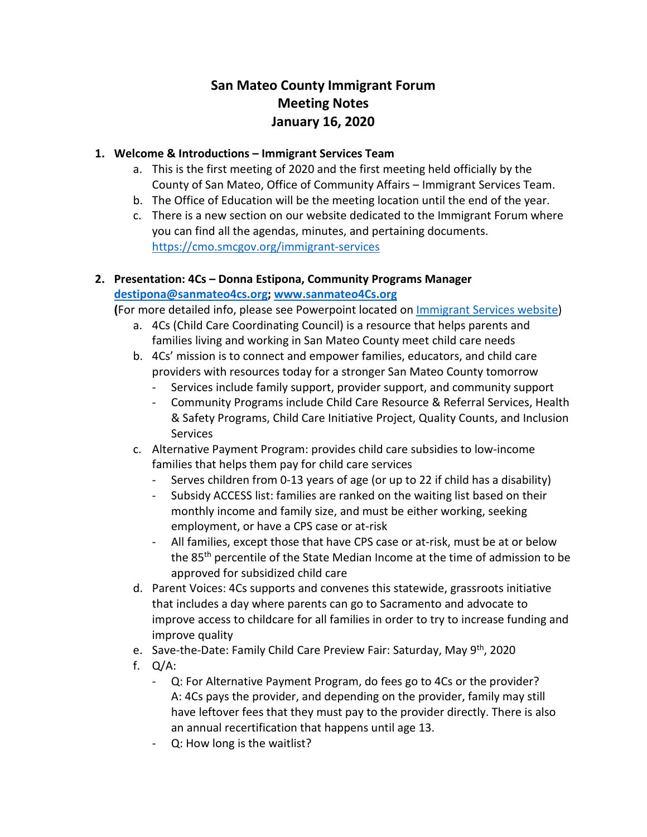# **San Mateo County Immigrant Forum Meeting Notes January 16, 2020**

#### **1. Welcome & Introductions – Immigrant Services Team**

- a. This is the first meeting of 2020 and the first meeting held officially by the County of San Mateo, Office of Community Affairs – Immigrant Services Team.
- b. The Office of Education will be the meeting location until the end of the year.
- c. There is a new section on our website dedicated to the Immigrant Forum where you can find all the agendas, minutes, and pertaining documents. <https://cmo.smcgov.org/immigrant-services>

# **2. Presentation: 4Cs – Donna Estipona, Community Programs Manager [destipona@sanmateo4cs.org;](mailto:destipona@sanmateo4cs.org) [www.sanmateo4Cs.org](http://www.sanmateo4cs.org/)**

**(**For more detailed info, please see Powerpoint located on [Immigrant Services website\)](https://cmo.smcgov.org/node/8496)

- a. 4Cs (Child Care Coordinating Council) is a resource that helps parents and families living and working in San Mateo County meet child care needs
- b. 4Cs' mission is to connect and empower families, educators, and child care providers with resources today for a stronger San Mateo County tomorrow
	- Services include family support, provider support, and community support
	- Community Programs include Child Care Resource & Referral Services, Health & Safety Programs, Child Care Initiative Project, Quality Counts, and Inclusion **Services**
- c. Alternative Payment Program: provides child care subsidies to low-income families that helps them pay for child care services
	- Serves children from 0-13 years of age (or up to 22 if child has a disability)
	- Subsidy ACCESS list: families are ranked on the waiting list based on their monthly income and family size, and must be either working, seeking employment, or have a CPS case or at-risk
	- All families, except those that have CPS case or at-risk, must be at or below the 85<sup>th</sup> percentile of the State Median Income at the time of admission to be approved for subsidized child care
- d. Parent Voices: 4Cs supports and convenes this statewide, grassroots initiative that includes a day where parents can go to Sacramento and advocate to improve access to childcare for all families in order to try to increase funding and improve quality
- e. Save-the-Date: Family Child Care Preview Fair: Saturday, May 9<sup>th</sup>, 2020
- f. Q/A:
	- Q: For Alternative Payment Program, do fees go to 4Cs or the provider? A: 4Cs pays the provider, and depending on the provider, family may still have leftover fees that they must pay to the provider directly. There is also an annual recertification that happens until age 13.
	- Q: How long is the waitlist?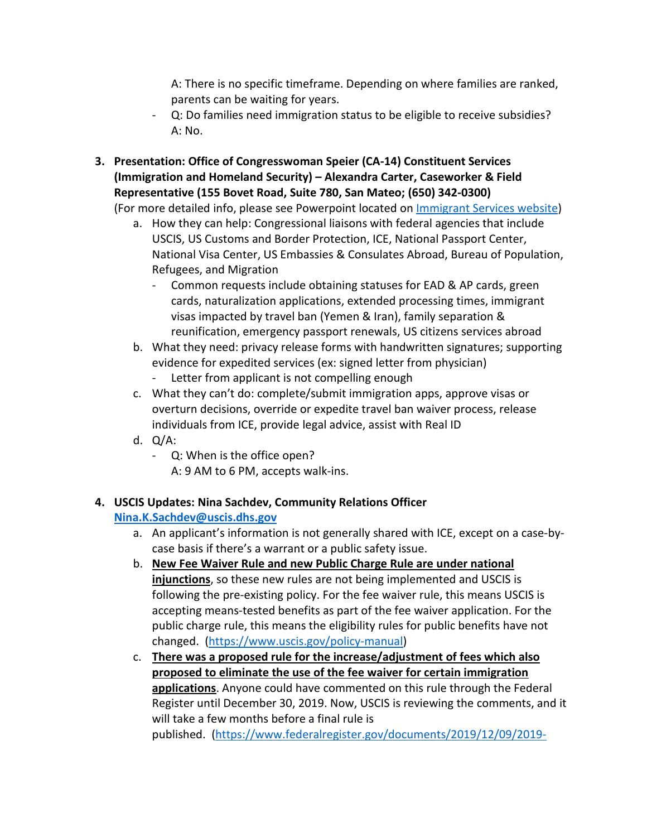A: There is no specific timeframe. Depending on where families are ranked, parents can be waiting for years.

- Q: Do families need immigration status to be eligible to receive subsidies? A: No.
- **3. Presentation: Office of Congresswoman Speier (CA-14) Constituent Services (Immigration and Homeland Security) – Alexandra Carter, Caseworker & Field Representative (155 Bovet Road, Suite 780, San Mateo; (650) 342-0300)**

(For more detailed info, please see Powerpoint located on [Immigrant Services website\)](https://cmo.smcgov.org/node/8496)

- a. How they can help: Congressional liaisons with federal agencies that include USCIS, US Customs and Border Protection, ICE, National Passport Center, National Visa Center, US Embassies & Consulates Abroad, Bureau of Population, Refugees, and Migration
	- Common requests include obtaining statuses for EAD & AP cards, green cards, naturalization applications, extended processing times, immigrant visas impacted by travel ban (Yemen & Iran), family separation & reunification, emergency passport renewals, US citizens services abroad
- b. What they need: privacy release forms with handwritten signatures; supporting evidence for expedited services (ex: signed letter from physician)
	- Letter from applicant is not compelling enough
- c. What they can't do: complete/submit immigration apps, approve visas or overturn decisions, override or expedite travel ban waiver process, release individuals from ICE, provide legal advice, assist with Real ID
- d. Q/A:
	- Q: When is the office open?
		- A: 9 AM to 6 PM, accepts walk-ins.

#### **4. USCIS Updates: Nina Sachdev, Community Relations Officer [Nina.K.Sachdev@uscis.dhs.gov](mailto:Nina.K.Sachdev@uscis.dhs.gov)**

- a. An applicant's information is not generally shared with ICE, except on a case-bycase basis if there's a warrant or a public safety issue.
- b. **New Fee Waiver Rule and new Public Charge Rule are under national injunctions**, so these new rules are not being implemented and USCIS is following the pre-existing policy. For the fee waiver rule, this means USCIS is accepting means-tested benefits as part of the fee waiver application. For the public charge rule, this means the eligibility rules for public benefits have not changed. [\(https://www.uscis.gov/policy-manual\)](https://www.uscis.gov/policy-manual)
- c. **There was a proposed rule for the increase/adjustment of fees which also proposed to eliminate the use of the fee waiver for certain immigration applications**. Anyone could have commented on this rule through the Federal Register until December 30, 2019. Now, USCIS is reviewing the comments, and it will take a few months before a final rule is published. [\(https://www.federalregister.gov/documents/2019/12/09/2019-](https://protect-us.mimecast.com/s/wn2_Czp47Pcn9QgEIXwDKv)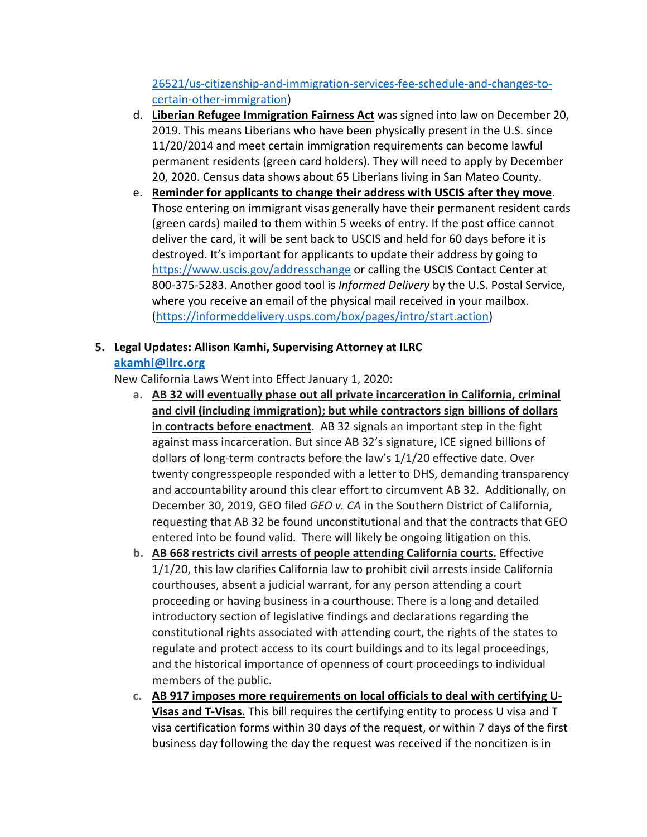[26521/us-citizenship-and-immigration-services-fee-schedule-and-changes-to](https://protect-us.mimecast.com/s/wn2_Czp47Pcn9QgEIXwDKv)[certain-other-immigration\)](https://protect-us.mimecast.com/s/wn2_Czp47Pcn9QgEIXwDKv)

- d. **Liberian Refugee Immigration Fairness Act** was signed into law on December 20, 2019. This means Liberians who have been physically present in the U.S. since 11/20/2014 and meet certain immigration requirements can become lawful permanent residents (green card holders). They will need to apply by December 20, 2020. Census data shows about 65 Liberians living in San Mateo County.
- e. **Reminder for applicants to change their address with USCIS after they move**. Those entering on immigrant visas generally have their permanent resident cards (green cards) mailed to them within 5 weeks of entry. If the post office cannot deliver the card, it will be sent back to USCIS and held for 60 days before it is destroyed. It's important for applicants to update their address by going to [https://www.uscis.gov/addresschange](https://protect-us.mimecast.com/s/eOcqCBBXPocABp60Uj-GtX) or calling the USCIS Contact Center at 800-375-5283. Another good tool is *Informed Delivery* by the U.S. Postal Service, where you receive an email of the physical mail received in your mailbox. [\(https://informeddelivery.usps.com/box/pages/intro/start.action\)](https://informeddelivery.usps.com/box/pages/intro/start.action)

#### **5. Legal Updates: Allison Kamhi, Supervising Attorney at ILRC**

#### **[akamhi@ilrc.org](mailto:akamhi@ilrc.org)**

New California Laws Went into Effect January 1, 2020:

- **a. AB 32 will eventually phase out all private incarceration in California, criminal and civil (including immigration); but while contractors sign billions of dollars in contracts before enactment**. AB 32 signals an important step in the fight against mass incarceration. But since AB 32's signature, ICE signed billions of dollars of long-term contracts before the law's 1/1/20 effective date. Over twenty congresspeople responded with a letter to DHS, demanding transparency and accountability around this clear effort to circumvent AB 32. Additionally, on December 30, 2019, GEO filed *GEO v. CA* in the Southern District of California, requesting that AB 32 be found unconstitutional and that the contracts that GEO entered into be found valid. There will likely be ongoing litigation on this.
- **b. AB 668 restricts civil arrests of people attending California courts.** Effective 1/1/20, this law clarifies California law to prohibit civil arrests inside California courthouses, absent a judicial warrant, for any person attending a court proceeding or having business in a courthouse. There is a long and detailed introductory section of legislative findings and declarations regarding the constitutional rights associated with attending court, the rights of the states to regulate and protect access to its court buildings and to its legal proceedings, and the historical importance of openness of court proceedings to individual members of the public.
- **c. AB 917 imposes more requirements on local officials to deal with certifying U-Visas and T-Visas.** This bill requires the certifying entity to process U visa and T visa certification forms within 30 days of the request, or within 7 days of the first business day following the day the request was received if the noncitizen is in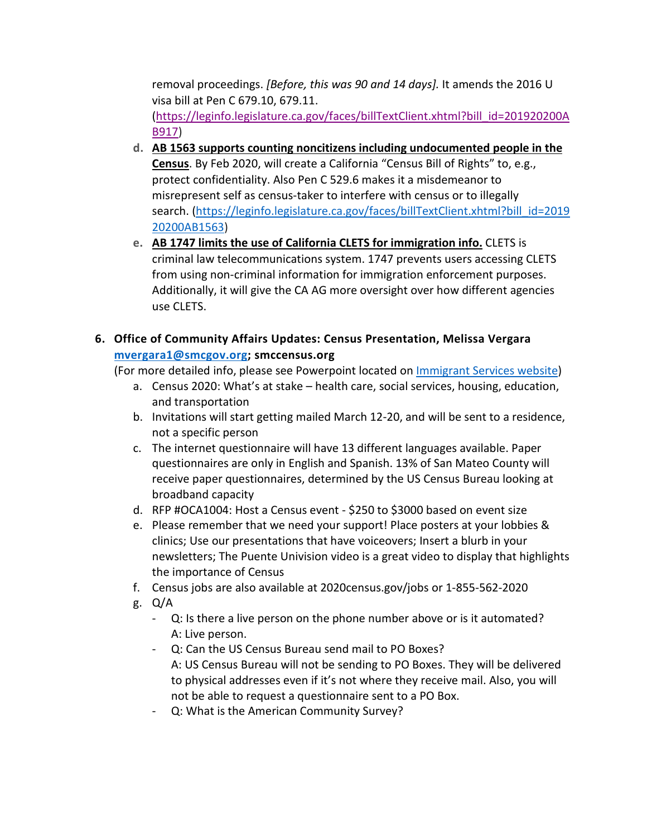removal proceedings. *[Before, this was 90 and 14 days].* It amends the 2016 U visa bill at Pen C 679.10, 679.11. [\(https://leginfo.legislature.ca.gov/faces/billTextClient.xhtml?bill\\_id=201920200A](https://leginfo.legislature.ca.gov/faces/billTextClient.xhtml?bill_id=201920200AB917) [B917\)](https://leginfo.legislature.ca.gov/faces/billTextClient.xhtml?bill_id=201920200AB917)

- **d. AB 1563 supports counting noncitizens including undocumented people in the Census**. By Feb 2020, will create a California "Census Bill of Rights" to, e.g., protect confidentiality. Also Pen C 529.6 makes it a misdemeanor to misrepresent self as census-taker to interfere with census or to illegally search. [\(https://leginfo.legislature.ca.gov/faces/billTextClient.xhtml?bill\\_id=2019](https://leginfo.legislature.ca.gov/faces/billTextClient.xhtml?bill_id=201920200AB1563) [20200AB1563\)](https://leginfo.legislature.ca.gov/faces/billTextClient.xhtml?bill_id=201920200AB1563)
- **e. AB 1747 limits the use of California CLETS for immigration info.** CLETS is criminal law telecommunications system. 1747 prevents users accessing CLETS from using non-criminal information for immigration enforcement purposes. Additionally, it will give the CA AG more oversight over how different agencies use CLETS.

### **6. Office of Community Affairs Updates: Census Presentation, Melissa Vergara [mvergara1@smcgov.org;](mailto:mvergara1@smcgov.org) smccensus.org**

(For more detailed info, please see Powerpoint located on [Immigrant Services website\)](https://cmo.smcgov.org/node/8496)

- a. Census 2020: What's at stake health care, social services, housing, education, and transportation
- b. Invitations will start getting mailed March 12-20, and will be sent to a residence, not a specific person
- c. The internet questionnaire will have 13 different languages available. Paper questionnaires are only in English and Spanish. 13% of San Mateo County will receive paper questionnaires, determined by the US Census Bureau looking at broadband capacity
- d. RFP #OCA1004: Host a Census event \$250 to \$3000 based on event size
- e. Please remember that we need your support! Place posters at your lobbies & clinics; Use our presentations that have voiceovers; Insert a blurb in your newsletters; The Puente Univision video is a great video to display that highlights the importance of Census
- f. Census jobs are also available at 2020census.gov/jobs or 1-855-562-2020
- g. Q/A
	- Q: Is there a live person on the phone number above or is it automated? A: Live person.
	- Q: Can the US Census Bureau send mail to PO Boxes? A: US Census Bureau will not be sending to PO Boxes. They will be delivered to physical addresses even if it's not where they receive mail. Also, you will not be able to request a questionnaire sent to a PO Box.
	- Q: What is the American Community Survey?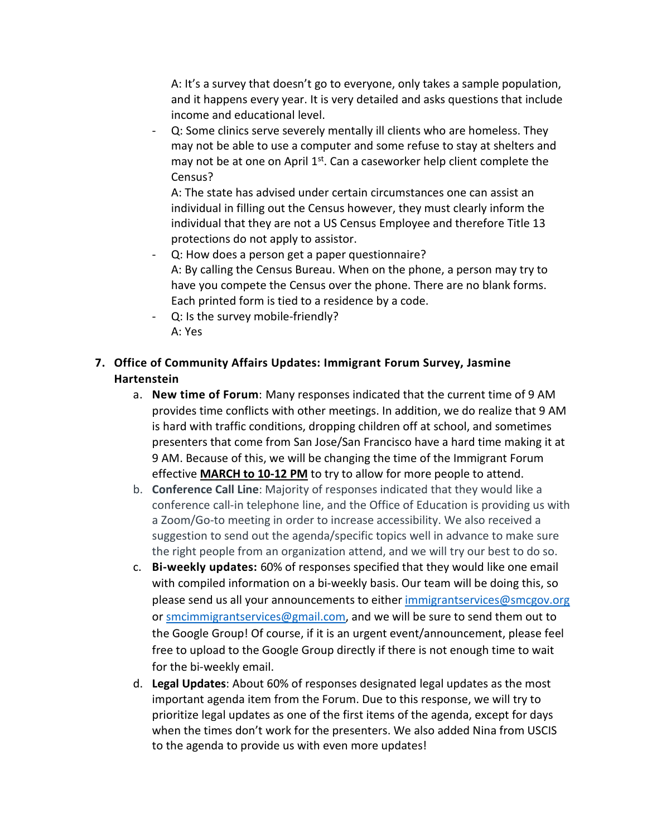A: It's a survey that doesn't go to everyone, only takes a sample population, and it happens every year. It is very detailed and asks questions that include income and educational level.

- Q: Some clinics serve severely mentally ill clients who are homeless. They may not be able to use a computer and some refuse to stay at shelters and may not be at one on April  $1<sup>st</sup>$ . Can a caseworker help client complete the Census?

A: The state has advised under certain circumstances one can assist an individual in filling out the Census however, they must clearly inform the individual that they are not a US Census Employee and therefore Title 13 protections do not apply to assistor.

- Q: How does a person get a paper questionnaire? A: By calling the Census Bureau. When on the phone, a person may try to have you compete the Census over the phone. There are no blank forms. Each printed form is tied to a residence by a code.
- Q: Is the survey mobile-friendly? A: Yes

## **7. Office of Community Affairs Updates: Immigrant Forum Survey, Jasmine Hartenstein**

- a. **New time of Forum**: Many responses indicated that the current time of 9 AM provides time conflicts with other meetings. In addition, we do realize that 9 AM is hard with traffic conditions, dropping children off at school, and sometimes presenters that come from San Jose/San Francisco have a hard time making it at 9 AM. Because of this, we will be changing the time of the Immigrant Forum effective **MARCH to 10-12 PM** to try to allow for more people to attend.
- b. **Conference Call Line**: Majority of responses indicated that they would like a conference call-in telephone line, and the Office of Education is providing us with a Zoom/Go-to meeting in order to increase accessibility. We also received a suggestion to send out the agenda/specific topics well in advance to make sure the right people from an organization attend, and we will try our best to do so.
- c. **Bi-weekly updates:** 60% of responses specified that they would like one email with compiled information on a bi-weekly basis. Our team will be doing this, so please send us all your announcements to either [immigrantservices@smcgov.org](mailto:immigrantservices@smcgov.org) or [smcimmigrantservices@gmail.com,](mailto:smcimmigrantservices@gmail.com) and we will be sure to send them out to the Google Group! Of course, if it is an urgent event/announcement, please feel free to upload to the Google Group directly if there is not enough time to wait for the bi-weekly email.
- d. **Legal Updates**: About 60% of responses designated legal updates as the most important agenda item from the Forum. Due to this response, we will try to prioritize legal updates as one of the first items of the agenda, except for days when the times don't work for the presenters. We also added Nina from USCIS to the agenda to provide us with even more updates!